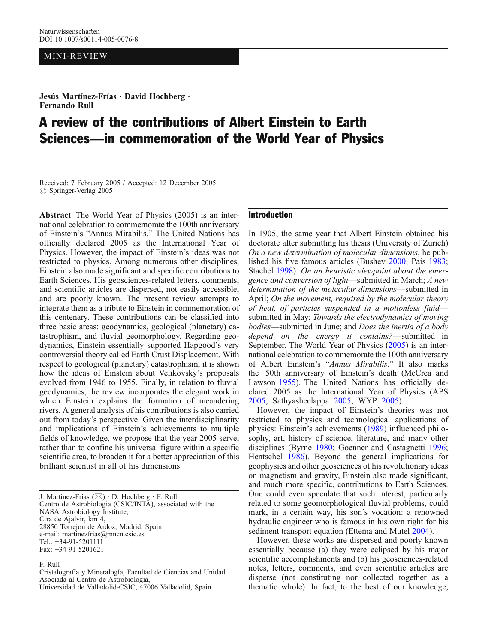# MINI-REVIEW

Jesús Martínez-Frías · David Hochberg · Fernando Rull

# A review of the contributions of Albert Einstein to Earth Sciences*—*in commemoration of the World Year of Physics

Received: 7 February 2005 / Accepted: 12 December 2005  $\circ$  Springer-Verlag 2005

Abstract The World Year of Physics (2005) is an international celebration to commemorate the 100th anniversary of Einstein's "Annus Mirabilis." The United Nations has officially declared 2005 as the International Year of Physics. However, the impact of Einstein's ideas was not restricted to physics. Among numerous other disciplines, Einstein also made significant and specific contributions to Earth Sciences. His geosciences-related letters, comments, and scientific articles are dispersed, not easily accessible, and are poorly known. The present review attempts to integrate them as a tribute to Einstein in commemoration of this centenary. These contributions can be classified into three basic areas: geodynamics, geological (planetary) catastrophism, and fluvial geomorphology. Regarding geodynamics, Einstein essentially supported Hapgood's very controversial theory called Earth Crust Displacement. With respect to geological (planetary) catastrophism, it is shown how the ideas of Einstein about Velikovsky's proposals evolved from 1946 to 1955. Finally, in relation to fluvial geodynamics, the review incorporates the elegant work in which Einstein explains the formation of meandering rivers. A general analysis of his contributions is also carried out from today's perspective. Given the interdisciplinarity and implications of Einstein's achievements to multiple fields of knowledge, we propose that the year 2005 serve, rather than to confine his universal figure within a specific scientific area, to broaden it for a better appreciation of this brilliant scientist in all of his dimensions.

J. Martínez-Frías (*\**) . D. Hochberg . F. Rull Centro de Astrobiologia (CSIC/INTA), associated with the NASA Astrobiology Institute, Ctra de Ajalvir, km 4, 28850 Torrejon de Ardoz, Madrid, Spain e-mail: martinezfrias@mncn.csic.es Tel.: +34-91-5201111 Fax: +34-91-5201621

#### F. Rull

Cristalografía y Mineralogía, Facultad de Ciencias and Unidad Asociada al Centro de Astrobiologia, Universidad de Valladolid-CSIC, 47006 Valladolid, Spain

#### Introduction

In 1905, the same year that Albert Einstein obtained his doctorate after submitting his thesis (University of Zurich) On a new determination of molecular dimensions, he published his five famous articles (Bushev [2000](#page-5-0); Pais [1983](#page-5-0); Stachel [1998\)](#page-5-0): On an heuristic viewpoint about the emergence and conversion of light—submitted in March; A new determination of the molecular dimensions—submitted in April; On the movement, required by the molecular theory of heat, of particles suspended in a motionless fluid submitted in May; Towards the electrodynamics of moving bodies—submitted in June; and Does the inertia of a body depend on the energy it contains?—submitted in September. The World Year of Physics [\(2005\)](#page-5-0) is an international celebration to commemorate the 100th anniversary of Albert Einstein's "Annus Mirabilis." It also marks the 50th anniversary of Einstein's death (McCrea and Lawson [1955](#page-5-0)). The United Nations has officially declared 2005 as the International Year of Physics (APS [2005](#page-5-0); Sathyasheelappa [2005;](#page-5-0) WYP [2005\)](#page-5-0).

However, the impact of Einstein's theories was not restricted to physics and technological applications of physics: Einstein's achievements ([1989\)](#page-5-0) influenced philosophy, art, history of science, literature, and many other disciplines (Byrne [1980;](#page-5-0) Goenner and Castagnetti [1996](#page-5-0); Hentschel [1986\)](#page-5-0). Beyond the general implications for geophysics and other geosciences of his revolutionary ideas on magnetism and gravity, Einstein also made significant, and much more specific, contributions to Earth Sciences. One could even speculate that such interest, particularly related to some geomorphological fluvial problems, could mark, in a certain way, his son's vocation: a renowned hydraulic engineer who is famous in his own right for his sediment transport equation (Ettema and Mutel [2004](#page-5-0)).

However, these works are dispersed and poorly known essentially because (a) they were eclipsed by his major scientific accomplishments and (b) his geosciences-related notes, letters, comments, and even scientific articles are disperse (not constituting nor collected together as a thematic whole). In fact, to the best of our knowledge,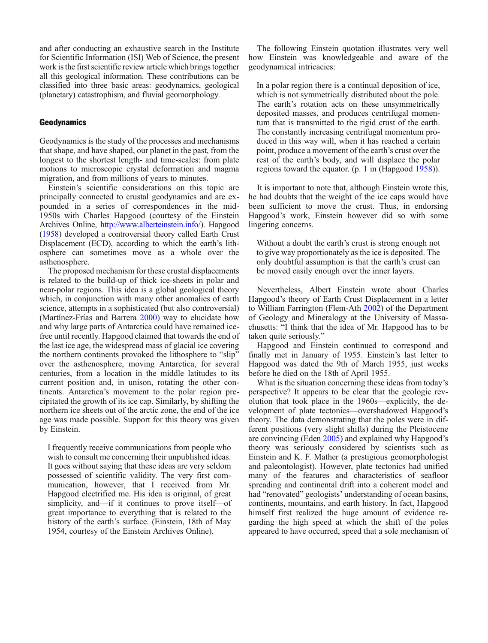and after conducting an exhaustive search in the Institute for Scientific Information (ISI) Web of Science, the present work is the first scientific review article which brings together all this geological information. These contributions can be classified into three basic areas: geodynamics, geological (planetary) catastrophism, and fluvial geomorphology.

# **Geodynamics**

Geodynamics is the study of the processes and mechanisms that shape, and have shaped, our planet in the past, from the longest to the shortest length- and time-scales: from plate motions to microscopic crystal deformation and magma migration, and from millions of years to minutes.

Einstein's scientific considerations on this topic are principally connected to crustal geodynamics and are expounded in a series of correspondences in the mid-1950s with Charles Hapgood (courtesy of the Einstein Archives Online, [http://www.alberteinstein.info/\)](http://www.alberteinstein.info/). Hapgood [\(1958\)](#page-5-0) developed a controversial theory called Earth Crust Displacement (ECD), according to which the earth's lithosphere can sometimes move as a whole over the asthenosphere.

The proposed mechanism for these crustal displacements is related to the build-up of thick ice-sheets in polar and near-polar regions. This idea is a global geological theory which, in conjunction with many other anomalies of earth. science, attempts in a sophisticated (but also controversial) (Martínez-Frías and Barrera [2000\)](#page-5-0) way to elucidate how and why large parts of Antarctica could have remained icefree until recently. Hapgood claimed that towards the end of the last ice age, the widespread mass of glacial ice covering the northern continents provoked the lithosphere to "slip" over the asthenosphere, moving Antarctica, for several centuries, from a location in the middle latitudes to its current position and, in unison, rotating the other continents. Antarctica's movement to the polar region precipitated the growth of its ice cap. Similarly, by shifting the northern ice sheets out of the arctic zone, the end of the ice age was made possible. Support for this theory was given by Einstein.

I frequently receive communications from people who wish to consult me concerning their unpublished ideas. It goes without saying that these ideas are very seldom possessed of scientific validity. The very first communication, however, that I received from Mr. Hapgood electrified me. His idea is original, of great simplicity, and—if it continues to prove itself—of great importance to everything that is related to the history of the earth's surface. (Einstein, 18th of May 1954, courtesy of the Einstein Archives Online).

The following Einstein quotation illustrates very well how Einstein was knowledgeable and aware of the geodynamical intricacies:

In a polar region there is a continual deposition of ice, which is not symmetrically distributed about the pole. The earth's rotation acts on these unsymmetrically deposited masses, and produces centrifugal momentum that is transmitted to the rigid crust of the earth. The constantly increasing centrifugal momentum produced in this way will, when it has reached a certain point, produce a movement of the earth's crust over the rest of the earth's body, and will displace the polar regions toward the equator. (p. 1 in (Hapgood [1958\)](#page-5-0)).

It is important to note that, although Einstein wrote this, he had doubts that the weight of the ice caps would have been sufficient to move the crust. Thus, in endorsing Hapgood's work, Einstein however did so with some lingering concerns.

Without a doubt the earth's crust is strong enough not to give way proportionately as the ice is deposited. The only doubtful assumption is that the earth's crust can be moved easily enough over the inner layers.

Nevertheless, Albert Einstein wrote about Charles Hapgood's theory of Earth Crust Displacement in a letter to William Farrington (Flem-Ath [2002\)](#page-5-0) of the Department of Geology and Mineralogy at the University of Massachusetts: "I think that the idea of Mr. Hapgood has to be taken quite seriously."

Hapgood and Einstein continued to correspond and finally met in January of 1955. Einstein's last letter to Hapgood was dated the 9th of March 1955, just weeks before he died on the 18th of April 1955.

What is the situation concerning these ideas from today's perspective? It appears to be clear that the geologic revolution that took place in the 1960s—explicitly, the development of plate tectonics—overshadowed Hapgood's theory. The data demonstrating that the poles were in different positions (very slight shifts) during the Pleistocene are convincing (Eden [2005](#page-5-0)) and explained why Hapgood's theory was seriously considered by scientists such as Einstein and K. F. Mather (a prestigious geomorphologist and paleontologist). However, plate tectonics had unified many of the features and characteristics of seafloor spreading and continental drift into a coherent model and had "renovated" geologists' understanding of ocean basins, continents, mountains, and earth history. In fact, Hapgood himself first realized the huge amount of evidence regarding the high speed at which the shift of the poles appeared to have occurred, speed that a sole mechanism of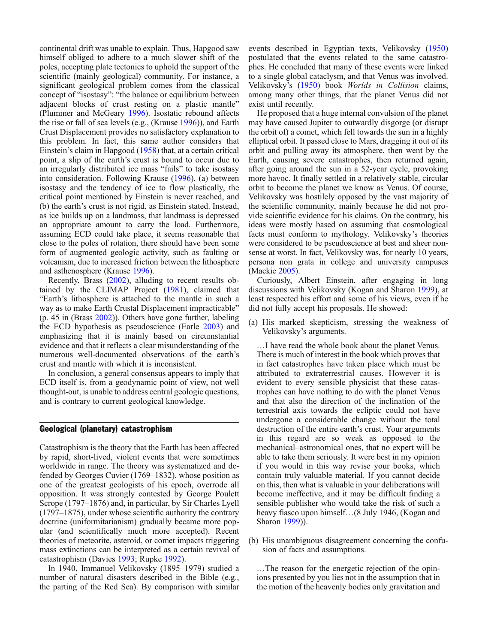continental drift was unable to explain. Thus, Hapgood saw himself obliged to adhere to a much slower shift of the poles, accepting plate tectonics to uphold the support of the scientific (mainly geological) community. For instance, a significant geological problem comes from the classical concept of "isostasy": "the balance or equilibrium between adjacent blocks of crust resting on a plastic mantle" (Plummer and McGeary [1996](#page-5-0)). Isostatic rebound affects the rise or fall of sea levels (e.g., (Krause [1996](#page-5-0))), and Earth Crust Displacement provides no satisfactory explanation to this problem. In fact, this same author considers that Einstein's claim in Hapgood [\(1958](#page-5-0)) that, at a certain critical point, a slip of the earth's crust is bound to occur due to an irregularly distributed ice mass "fails" to take isostasy into consideration. Following Krause [\(1996](#page-5-0)), (a) between isostasy and the tendency of ice to flow plastically, the critical point mentioned by Einstein is never reached, and (b) the earth's crust is not rigid, as Einstein stated. Instead, as ice builds up on a landmass, that landmass is depressed an appropriate amount to carry the load. Furthermore, assuming ECD could take place, it seems reasonable that close to the poles of rotation, there should have been some form of augmented geologic activity, such as faulting or volcanism, due to increased friction between the lithosphere and asthenosphere (Krause [1996\)](#page-5-0).

Recently, Brass [\(2002](#page-5-0)), alluding to recent results obtained by the CLIMAP Project ([1981\)](#page-5-0), claimed that "Earth's lithosphere is attached to the mantle in such a way as to make Earth Crustal Displacement impracticable" (p. 45 in (Brass [2002\)](#page-5-0)). Others have gone further, labeling the ECD hypothesis as pseudoscience (Earle [2003\)](#page-5-0) and emphasizing that it is mainly based on circumstantial evidence and that it reflects a clear misunderstanding of the numerous well-documented observations of the earth's crust and mantle with which it is inconsistent.

In conclusion, a general consensus appears to imply that ECD itself is, from a geodynamic point of view, not well thought-out, is unable to address central geologic questions, and is contrary to current geological knowledge.

# Geological (planetary) catastrophism

Catastrophism is the theory that the Earth has been affected by rapid, short-lived, violent events that were sometimes worldwide in range. The theory was systematized and defended by Georges Cuvier (1769–1832), whose position as one of the greatest geologists of his epoch, overrode all opposition. It was strongly contested by George Poulett Scrope (1797–1876) and, in particular, by Sir Charles Lyell (1797–1875), under whose scientific authority the contrary doctrine (uniformitarianism) gradually became more popular (and scientifically much more accepted). Recent theories of meteorite, asteroid, or comet impacts triggering mass extinctions can be interpreted as a certain revival of catastrophism (Davies [1993;](#page-5-0) Rupke [1992](#page-5-0)).

In 1940, Immanuel Velikovsky (1895–1979) studied a number of natural disasters described in the Bible (e.g., the parting of the Red Sea). By comparison with similar

events described in Egyptian texts, Velikovsky ([1950\)](#page-5-0) postulated that the events related to the same catastrophes. He concluded that many of these events were linked to a single global cataclysm, and that Venus was involved. Velikovsky's ([1950](#page-5-0)) book Worlds in Collision claims, among many other things, that the planet Venus did not exist until recently.

He proposed that a huge internal convulsion of the planet may have caused Jupiter to outwardly disgorge (or disrupt the orbit of) a comet, which fell towards the sun in a highly elliptical orbit. It passed close to Mars, dragging it out of its orbit and pulling away its atmosphere, then went by the Earth, causing severe catastrophes, then returned again, after going around the sun in a 52-year cycle, provoking more havoc. It finally settled in a relatively stable, circular orbit to become the planet we know as Venus. Of course, Velikovsky was hostilely opposed by the vast majority of the scientific community, mainly because he did not provide scientific evidence for his claims. On the contrary, his ideas were mostly based on assuming that cosmological facts must conform to mythology. Velikovsky's theories were considered to be pseudoscience at best and sheer nonsense at worst. In fact, Velikovsky was, for nearly 10 years, persona non grata in college and university campuses (Mackie [2005\)](#page-5-0).

Curiously, Albert Einstein, after engaging in long discussions with Velikovsky (Kogan and Sharon [1999\)](#page-5-0), at least respected his effort and some of his views, even if he did not fully accept his proposals. He showed:

(a) His marked skepticism, stressing the weakness of Velikovsky's arguments.

…I have read the whole book about the planet Venus. There is much of interest in the book which proves that in fact catastrophes have taken place which must be attributed to extraterrestrial causes. However it is evident to every sensible physicist that these catastrophes can have nothing to do with the planet Venus and that also the direction of the inclination of the terrestrial axis towards the ecliptic could not have undergone a considerable change without the total destruction of the entire earth's crust. Your arguments in this regard are so weak as opposed to the mechanical–astronomical ones, that no expert will be able to take them seriously. It were best in my opinion if you would in this way revise your books, which contain truly valuable material. If you cannot decide on this, then what is valuable in your deliberations will become ineffective, and it may be difficult finding a sensible publisher who would take the risk of such a heavy fiasco upon himself…(8 July 1946, (Kogan and Sharon [1999\)](#page-5-0)).

(b) His unambiguous disagreement concerning the confusion of facts and assumptions.

…The reason for the energetic rejection of the opinions presented by you lies not in the assumption that in the motion of the heavenly bodies only gravitation and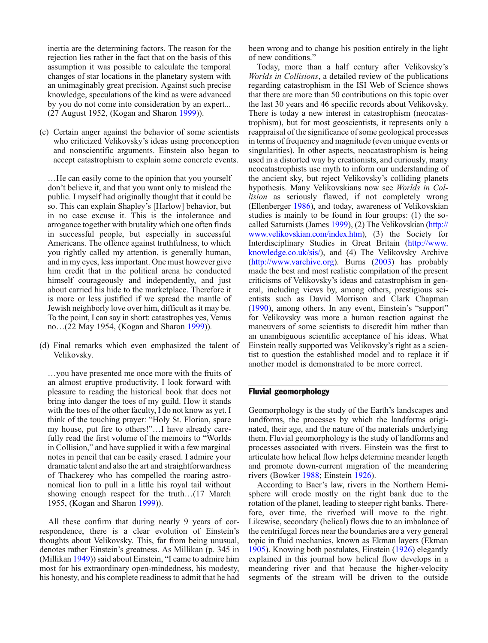inertia are the determining factors. The reason for the rejection lies rather in the fact that on the basis of this assumption it was possible to calculate the temporal changes of star locations in the planetary system with an unimaginably great precision. Against such precise knowledge, speculations of the kind as were advanced by you do not come into consideration by an expert... (27 August 1952, (Kogan and Sharon [1999\)](#page-5-0)).

(c) Certain anger against the behavior of some scientists who criticized Velikovsky's ideas using preconception and nonscientific arguments. Einstein also began to accept catastrophism to explain some concrete events.

…He can easily come to the opinion that you yourself don't believe it, and that you want only to mislead the public. I myself had originally thought that it could be so. This can explain Shapley's [Harlow] behavior, but in no case excuse it. This is the intolerance and arrogance together with brutality which one often finds in successful people, but especially in successful Americans. The offence against truthfulness, to which you rightly called my attention, is generally human, and in my eyes, less important. One must however give him credit that in the political arena he conducted himself courageously and independently, and just about carried his hide to the marketplace. Therefore it is more or less justified if we spread the mantle of Jewish neighborly love over him, difficult as it may be. To the point, I can say in short: catastrophes yes, Venus no…(22 May 1954, (Kogan and Sharon [1999\)](#page-5-0)).

(d) Final remarks which even emphasized the talent of Velikovsky.

…you have presented me once more with the fruits of an almost eruptive productivity. I look forward with pleasure to reading the historical book that does not bring into danger the toes of my guild. How it stands with the toes of the other faculty, I do not know as yet. I think of the touching prayer: "Holy St. Florian, spare my house, put fire to others!"…I have already carefully read the first volume of the memoirs to "Worlds in Collision," and have supplied it with a few marginal notes in pencil that can be easily erased. I admire your dramatic talent and also the art and straightforwardness of Thackerey who has compelled the roaring astronomical lion to pull in a little his royal tail without showing enough respect for the truth…(17 March 1955, (Kogan and Sharon [1999\)](#page-5-0)).

All these confirm that during nearly 9 years of correspondence, there is a clear evolution of Einstein's thoughts about Velikovsky. This, far from being unusual, denotes rather Einstein's greatness. As Millikan (p. 345 in (Millikan [1949](#page-5-0))) said about Einstein, "I came to admire him most for his extraordinary open-mindedness, his modesty, his honesty, and his complete readiness to admit that he had been wrong and to change his position entirely in the light of new conditions."

Today, more than a half century after Velikovsky's Worlds in Collisions, a detailed review of the publications regarding catastrophism in the ISI Web of Science shows that there are more than 50 contributions on this topic over the last 30 years and 46 specific records about Velikovsky. There is today a new interest in catastrophism (neocatastrophism), but for most geoscientists, it represents only a reappraisal of the significance of some geological processes in terms of frequency and magnitude (even unique events or singularities). In other aspects, neocatastrophism is being used in a distorted way by creationists, and curiously, many neocatastrophists use myth to inform our understanding of the ancient sky, but reject Velikovsky's colliding planets hypothesis. Many Velikovskians now see Worlds in Collision as seriously flawed, if not completely wrong (Ellenberger [1986\)](#page-5-0), and today, awareness of Velikovskian studies is mainly to be found in four groups: (1) the socalled Saturnists (James [1999\)](#page-5-0), (2) The Velikovskian [\(http://](http://www.velikovskian.com/index.htm) [www.velikovskian.com/index.htm\)](http://www.velikovskian.com/index.htm), (3) the Society for Interdisciplinary Studies in Great Britain ([http://www.](http://www.knowledge.co.uk/sis/) [knowledge.co.uk/sis/](http://www.knowledge.co.uk/sis/)), and (4) The Velikovsky Archive ([http://www.varchive.org\)](http://www.varchive.org). Burns [\(2003\)](#page-5-0) has probably made the best and most realistic compilation of the present criticisms of Velikovsky's ideas and catastrophism in general, including views by, among others, prestigious scientists such as David Morrison and Clark Chapman ([1990\)](#page-5-0), among others. In any event, Einstein's "support" for Velikovsky was more a human reaction against the maneuvers of some scientists to discredit him rather than an unambiguous scientific acceptance of his ideas. What Einstein really supported was Velikovsky's right as a scientist to question the established model and to replace it if another model is demonstrated to be more correct.

#### Fluvial geomorphology

Geomorphology is the study of the Earth's landscapes and landforms, the processes by which the landforms originated, their age, and the nature of the materials underlying them. Fluvial geomorphology is the study of landforms and processes associated with rivers. Einstein was the first to articulate how helical flow helps determine meander length and promote down-current migration of the meandering rivers (Bowker [1988;](#page-5-0) Einstein [1926](#page-5-0)).

According to Baer's law, rivers in the Northern Hemisphere will erode mostly on the right bank due to the rotation of the planet, leading to steeper right banks. Therefore, over time, the riverbed will move to the right. Likewise, secondary (helical) flows due to an imbalance of the centrifugal forces near the boundaries are a very general topic in fluid mechanics, known as Ekman layers (Ekman [1905](#page-5-0)). Knowing both postulates, Einstein [\(1926](#page-5-0)) elegantly explained in this journal how helical flow develops in a meandering river and that because the higher-velocity segments of the stream will be driven to the outside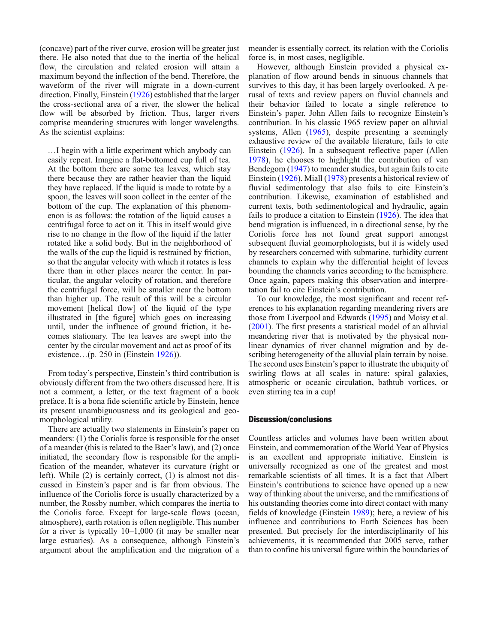(concave) part of the river curve, erosion will be greater just there. He also noted that due to the inertia of the helical flow, the circulation and related erosion will attain a maximum beyond the inflection of the bend. Therefore, the waveform of the river will migrate in a down-current direction. Finally, Einstein ([1926\)](#page-5-0) established that the larger the cross-sectional area of a river, the slower the helical flow will be absorbed by friction. Thus, larger rivers comprise meandering structures with longer wavelengths. As the scientist explains:

…I begin with a little experiment which anybody can easily repeat. Imagine a flat-bottomed cup full of tea. At the bottom there are some tea leaves, which stay there because they are rather heavier than the liquid they have replaced. If the liquid is made to rotate by a spoon, the leaves will soon collect in the center of the bottom of the cup. The explanation of this phenomenon is as follows: the rotation of the liquid causes a centrifugal force to act on it. This in itself would give rise to no change in the flow of the liquid if the latter rotated like a solid body. But in the neighborhood of the walls of the cup the liquid is restrained by friction, so that the angular velocity with which it rotates is less there than in other places nearer the center. In particular, the angular velocity of rotation, and therefore the centrifugal force, will be smaller near the bottom than higher up. The result of this will be a circular movement [helical flow] of the liquid of the type illustrated in [the figure] which goes on increasing until, under the influence of ground friction, it becomes stationary. The tea leaves are swept into the center by the circular movement and act as proof of its existence…(p. 250 in (Einstein [1926\)](#page-5-0)).

From today's perspective, Einstein's third contribution is obviously different from the two others discussed here. It is not a comment, a letter, or the text fragment of a book preface. It is a bona fide scientific article by Einstein, hence its present unambiguousness and its geological and geomorphological utility.

There are actually two statements in Einstein's paper on meanders: (1) the Coriolis force is responsible for the onset of a meander (this is related to the Baer's law), and (2) once initiated, the secondary flow is responsible for the amplification of the meander, whatever its curvature (right or left). While (2) is certainly correct, (1) is almost not discussed in Einstein's paper and is far from obvious. The influence of the Coriolis force is usually characterized by a number, the Rossby number, which compares the inertia to the Coriolis force. Except for large-scale flows (ocean, atmosphere), earth rotation is often negligible. This number for a river is typically 10–1,000 (it may be smaller near large estuaries). As a consequence, although Einstein's argument about the amplification and the migration of a meander is essentially correct, its relation with the Coriolis force is, in most cases, negligible.

However, although Einstein provided a physical explanation of flow around bends in sinuous channels that survives to this day, it has been largely overlooked. A perusal of texts and review papers on fluvial channels and their behavior failed to locate a single reference to Einstein's paper. John Allen fails to recognize Einstein's contribution. In his classic 1965 review paper on alluvial systems, Allen ([1965\)](#page-5-0), despite presenting a seemingly exhaustive review of the available literature, fails to cite Einstein [\(1926](#page-5-0)). In a subsequent reflective paper (Allen [1978](#page-5-0)), he chooses to highlight the contribution of van Bendegom ([1947\)](#page-5-0) to meander studies, but again fails to cite Einstein ([1926\)](#page-5-0). Miall [\(1978](#page-5-0)) presents a historical review of fluvial sedimentology that also fails to cite Einstein's contribution. Likewise, examination of established and current texts, both sedimentological and hydraulic, again fails to produce a citation to Einstein ([1926\)](#page-5-0). The idea that bend migration is influenced, in a directional sense, by the Coriolis force has not found great support amongst subsequent fluvial geomorphologists, but it is widely used by researchers concerned with submarine, turbidity current channels to explain why the differential height of levees bounding the channels varies according to the hemisphere. Once again, papers making this observation and interpretation fail to cite Einstein's contribution.

To our knowledge, the most significant and recent references to his explanation regarding meandering rivers are those from Liverpool and Edwards ([1995](#page-5-0)) and Moisy et al. ([2001\)](#page-5-0). The first presents a statistical model of an alluvial meandering river that is motivated by the physical nonlinear dynamics of river channel migration and by describing heterogeneity of the alluvial plain terrain by noise. The second uses Einstein's paper to illustrate the ubiquity of swirling flows at all scales in nature: spiral galaxies, atmospheric or oceanic circulation, bathtub vortices, or even stirring tea in a cup!

### Discussion/conclusions

Countless articles and volumes have been written about Einstein, and commemoration of the World Year of Physics is an excellent and appropriate initiative. Einstein is universally recognized as one of the greatest and most remarkable scientists of all times. It is a fact that Albert Einstein's contributions to science have opened up a new way of thinking about the universe, and the ramifications of his outstanding theories come into direct contact with many fields of knowledge (Einstein [1989](#page-5-0)); here, a review of his influence and contributions to Earth Sciences has been presented. But precisely for the interdisciplinarity of his achievements, it is recommended that 2005 serve, rather than to confine his universal figure within the boundaries of